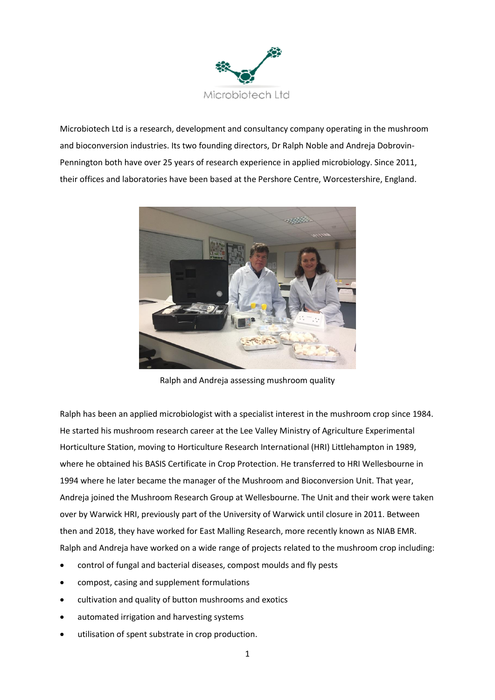

Microbiotech Ltd is a research, development and consultancy company operating in the mushroom and bioconversion industries. Its two founding directors, Dr Ralph Noble and Andreja Dobrovin-Pennington both have over 25 years of research experience in applied microbiology. Since 2011, their offices and laboratories have been based at the Pershore Centre, Worcestershire, England.



Ralph and Andreja assessing mushroom quality

Ralph has been an applied microbiologist with a specialist interest in the mushroom crop since 1984. He started his mushroom research career at the Lee Valley Ministry of Agriculture Experimental Horticulture Station, moving to Horticulture Research International (HRI) Littlehampton in 1989, where he obtained his BASIS Certificate in Crop Protection. He transferred to HRI Wellesbourne in 1994 where he later became the manager of the Mushroom and Bioconversion Unit. That year, Andreja joined the Mushroom Research Group at Wellesbourne. The Unit and their work were taken over by Warwick HRI, previously part of the University of Warwick until closure in 2011. Between then and 2018, they have worked for East Malling Research, more recently known as NIAB EMR. Ralph and Andreja have worked on a wide range of projects related to the mushroom crop including:

- control of fungal and bacterial diseases, compost moulds and fly pests
- compost, casing and supplement formulations
- cultivation and quality of button mushrooms and exotics
- automated irrigation and harvesting systems
- utilisation of spent substrate in crop production.